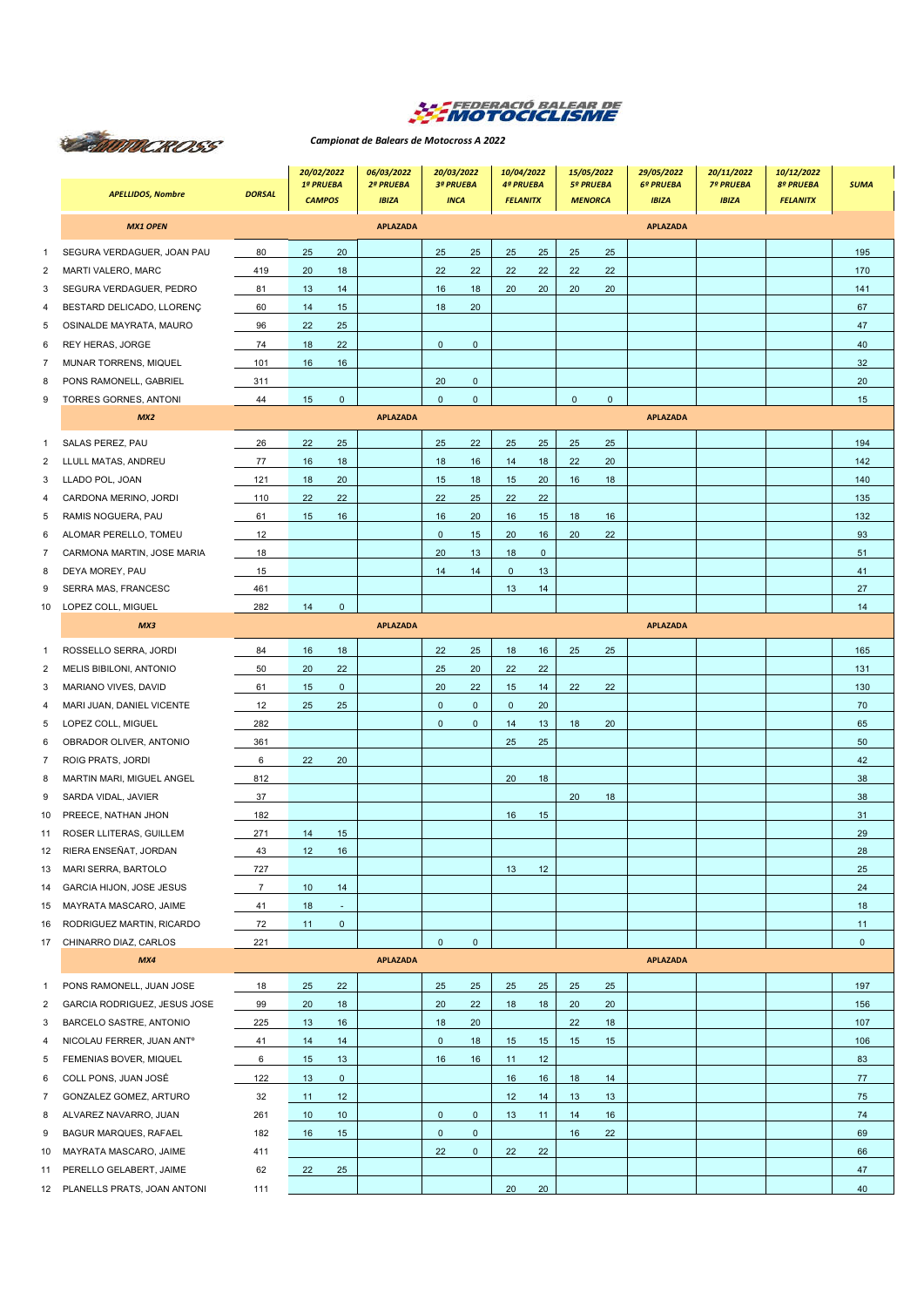

## **CENTROCROSS**

## *Campionat de Balears de Motocross A 2022*

|                | <b>APELLIDOS, Nombre</b>              | <b>DORSAL</b>  | 20/02/2022<br>1ª PRUEBA<br><b>CAMPOS</b> |              | 06/03/2022<br>2ª PRUEBA<br><b>IBIZA</b> | 20/03/2022<br>3ª PRUEBA<br><b>INCA</b> |             | 10/04/2022<br><b>4ª PRUEBA</b><br><b>FELANITX</b> |             | 15/05/2022<br><b>5º PRUEBA</b><br><b>MENORCA</b> |             | 29/05/2022<br>6º PRUEBA<br><b>IBIZA</b> | 20/11/2022<br><b>7º PRUEBA</b><br><b>IBIZA</b> | 10/12/2022<br><b>8º PRUEBA</b><br><b>FELANITX</b> | <b>SUMA</b>  |
|----------------|---------------------------------------|----------------|------------------------------------------|--------------|-----------------------------------------|----------------------------------------|-------------|---------------------------------------------------|-------------|--------------------------------------------------|-------------|-----------------------------------------|------------------------------------------------|---------------------------------------------------|--------------|
|                | <b>MX1 OPEN</b>                       |                |                                          |              | <b>APLAZADA</b>                         |                                        |             |                                                   |             |                                                  |             | <b>APLAZADA</b>                         |                                                |                                                   |              |
| 1              | SEGURA VERDAGUER, JOAN PAU            | 80             | 25                                       | 20           |                                         | 25                                     | 25          | 25                                                | 25          | 25                                               | 25          |                                         |                                                |                                                   | 195          |
| 2              | MARTI VALERO, MARC                    | 419            | 20                                       | 18           |                                         | 22                                     | 22          | 22                                                | 22          | 22                                               | 22          |                                         |                                                |                                                   | 170          |
| 3              | SEGURA VERDAGUER, PEDRO               | 81             | 13                                       | 14           |                                         | 16                                     | 18          | 20                                                | 20          | 20                                               | 20          |                                         |                                                |                                                   | 141          |
| 4              | BESTARD DELICADO, LLORENÇ             | 60             | 14                                       | 15           |                                         | 18                                     | 20          |                                                   |             |                                                  |             |                                         |                                                |                                                   | 67           |
| 5              | OSINALDE MAYRATA, MAURO               | 96             | 22                                       | 25           |                                         |                                        |             |                                                   |             |                                                  |             |                                         |                                                |                                                   | 47           |
| 6              | REY HERAS, JORGE                      | 74             | 18                                       | 22           |                                         | $\mathbf 0$                            | $\mathbf 0$ |                                                   |             |                                                  |             |                                         |                                                |                                                   | 40           |
| 7              | MUNAR TORRENS, MIQUEL                 | 101            | 16                                       | 16           |                                         |                                        |             |                                                   |             |                                                  |             |                                         |                                                |                                                   | 32           |
| 8              | PONS RAMONELL, GABRIEL                | 311            |                                          |              |                                         | 20                                     | $\mathbf 0$ |                                                   |             |                                                  |             |                                         |                                                |                                                   | 20           |
| 9              | TORRES GORNES, ANTONI                 | 44             | 15                                       | $\mathbf 0$  |                                         | $\mathbf 0$                            | $\mathbf 0$ |                                                   |             | $\mathbf 0$                                      | $\mathbf 0$ |                                         |                                                |                                                   | 15           |
|                | MX2                                   |                |                                          |              | <b>APLAZADA</b>                         |                                        |             |                                                   |             |                                                  |             | <b>APLAZADA</b>                         |                                                |                                                   |              |
| 1              | SALAS PEREZ, PAU                      | 26             | 22                                       | 25           |                                         | 25                                     | 22          | 25                                                | 25          | 25                                               | 25          |                                         |                                                |                                                   | 194          |
| 2              | LLULL MATAS, ANDREU                   | 77             | 16                                       | 18           |                                         | 18                                     | 16          | 14                                                | 18          | 22                                               | 20          |                                         |                                                |                                                   | 142          |
| 3              | LLADO POL, JOAN                       | 121            | 18                                       | 20           |                                         | 15                                     | 18          | 15                                                | 20          | 16                                               | 18          |                                         |                                                |                                                   | 140          |
| 4              | CARDONA MERINO, JORDI                 | 110            | 22                                       | 22           |                                         | 22                                     | 25          | 22                                                | 22          |                                                  |             |                                         |                                                |                                                   | 135          |
| 5              | RAMIS NOGUERA, PAU                    | 61             | 15                                       | 16           |                                         | 16                                     | 20          | 16                                                | 15          | 18                                               | 16          |                                         |                                                |                                                   | 132          |
| 6              | ALOMAR PERELLO, TOMEU                 | 12             |                                          |              |                                         | $\mathbf 0$                            | 15          | 20                                                | 16          | 20                                               | 22          |                                         |                                                |                                                   | 93           |
| 7              | CARMONA MARTIN, JOSE MARIA            | 18             |                                          |              |                                         | 20                                     | 13          | 18                                                | $\mathbf 0$ |                                                  |             |                                         |                                                |                                                   | 51           |
| 8              | DEYA MOREY, PAU                       | 15             |                                          |              |                                         | 14                                     | 14          | $\mathbf{0}$                                      | 13          |                                                  |             |                                         |                                                |                                                   | 41           |
| 9              | SERRA MAS, FRANCESC                   | 461            |                                          |              |                                         |                                        |             | 13                                                | 14          |                                                  |             |                                         |                                                |                                                   | 27           |
| 10             | LOPEZ COLL, MIGUEL                    | 282            | 14                                       | $\mathbf 0$  |                                         |                                        |             |                                                   |             |                                                  |             |                                         |                                                |                                                   | 14           |
|                | MX3                                   |                |                                          |              | <b>APLAZADA</b>                         |                                        |             |                                                   |             |                                                  |             | <b>APLAZADA</b>                         |                                                |                                                   |              |
| $\mathbf{1}$   | ROSSELLO SERRA, JORDI                 | 84             | 16                                       | 18           |                                         | 22                                     | 25          | 18                                                | 16          | 25                                               | 25          |                                         |                                                |                                                   | 165          |
| 2              | MELIS BIBILONI, ANTONIO               | 50             | 20                                       | 22           |                                         | 25                                     | 20          | 22                                                | 22          |                                                  |             |                                         |                                                |                                                   | 131          |
| 3              | MARIANO VIVES, DAVID                  | 61             | 15                                       | $\mathbf 0$  |                                         | 20                                     | 22          | 15                                                | 14          | 22                                               | 22          |                                         |                                                |                                                   | 130          |
| 4              | MARI JUAN, DANIEL VICENTE             | 12             | 25                                       | 25           |                                         | $\mathbf 0$                            | $\mathbf 0$ | $\mathbf{0}$                                      | 20          |                                                  |             |                                         |                                                |                                                   | 70           |
| 5              | LOPEZ COLL, MIGUEL                    | 282            |                                          |              |                                         | $\mathbf 0$                            | $\pmb{0}$   | 14                                                | 13          | 18                                               | 20          |                                         |                                                |                                                   | 65           |
| 6              | OBRADOR OLIVER, ANTONIO               | 361            |                                          |              |                                         |                                        |             | 25                                                | 25          |                                                  |             |                                         |                                                |                                                   | 50           |
| $\overline{7}$ | ROIG PRATS, JORDI                     | 6              | 22                                       | 20           |                                         |                                        |             |                                                   |             |                                                  |             |                                         |                                                |                                                   | 42           |
| 8              | MARTIN MARI, MIGUEL ANGEL             | 812            |                                          |              |                                         |                                        |             | 20                                                | 18          |                                                  |             |                                         |                                                |                                                   | 38           |
| 9              | SARDA VIDAL, JAVIER                   | 37             |                                          |              |                                         |                                        |             |                                                   |             | 20                                               | 18          |                                         |                                                |                                                   | 38           |
| 10             | PREECE, NATHAN JHON                   | 182            |                                          |              |                                         |                                        |             | 16                                                | 15          |                                                  |             |                                         |                                                |                                                   | 31           |
| 11             | ROSER LLITERAS, GUILLEM               | 271            | 14                                       | 15           |                                         |                                        |             |                                                   |             |                                                  |             |                                         |                                                |                                                   | 29           |
| 12             | RIERA ENSEÑAT, JORDAN                 | 43             | 12                                       | 16           |                                         |                                        |             |                                                   |             |                                                  |             |                                         |                                                |                                                   | 28           |
| 13             | MARI SERRA, BARTOLO                   | 727            |                                          |              |                                         |                                        |             | 13                                                | 12          |                                                  |             |                                         |                                                |                                                   | 25           |
| 14             | GARCIA HIJON, JOSE JESUS              | $\overline{7}$ | 10                                       | 14           |                                         |                                        |             |                                                   |             |                                                  |             |                                         |                                                |                                                   | 24           |
| 15             | MAYRATA MASCARO, JAIME                | 41             | 18                                       | $\sim$       |                                         |                                        |             |                                                   |             |                                                  |             |                                         |                                                |                                                   | 18           |
| 16             | RODRIGUEZ MARTIN, RICARDO             | 72             | 11                                       | $\mathbf 0$  |                                         |                                        |             |                                                   |             |                                                  |             |                                         |                                                |                                                   | 11           |
| 17             | CHINARRO DIAZ, CARLOS                 | 221            |                                          |              |                                         | $\mathbf 0$                            | $\mathbf 0$ |                                                   |             |                                                  |             |                                         |                                                |                                                   | $\mathbf{0}$ |
|                | MX4                                   |                |                                          |              | <b>APLAZADA</b>                         |                                        |             |                                                   |             |                                                  |             | <b>APLAZADA</b>                         |                                                |                                                   |              |
| 1              | PONS RAMONELL, JUAN JOSE              | 18             | 25                                       | 22           |                                         | 25                                     | 25          | 25                                                | 25          | 25                                               | 25          |                                         |                                                |                                                   | 197          |
| 2              | GARCIA RODRIGUEZ, JESUS JOSE          | 99             | 20                                       | 18           |                                         | 20                                     | 22          | 18                                                | 18          | 20                                               | 20          |                                         |                                                |                                                   | 156          |
| 3              | BARCELO SASTRE, ANTONIO               | 225            | 13                                       | 16           |                                         | 18                                     | 20          |                                                   |             | 22                                               | 18          |                                         |                                                |                                                   | 107          |
| 4              | NICOLAU FERRER, JUAN ANT <sup>o</sup> | 41             | 14                                       | 14           |                                         | $\mathbf 0$                            | 18          | 15                                                | 15          | 15                                               | 15          |                                         |                                                |                                                   | 106          |
| 5              | FEMENIAS BOVER, MIQUEL                | 6              | 15                                       | 13           |                                         | 16                                     | 16          | 11                                                | 12          |                                                  |             |                                         |                                                |                                                   | 83           |
| 6              | COLL PONS, JUAN JOSÉ                  | 122            | 13                                       | $\mathbf{0}$ |                                         |                                        |             | 16                                                | 16          | 18                                               | 14          |                                         |                                                |                                                   | 77           |
| 7              | GONZALEZ GOMEZ, ARTURO                | 32             | 11                                       | 12           |                                         |                                        |             | 12                                                | 14          | 13                                               | 13          |                                         |                                                |                                                   | 75           |
| 8              | ALVAREZ NAVARRO, JUAN                 | 261            | 10                                       | 10           |                                         | $\bf{0}$                               | $\mathbf 0$ | 13                                                | 11          | 14                                               | 16          |                                         |                                                |                                                   | 74           |
| 9              | BAGUR MARQUES, RAFAEL                 | 182            | 16                                       | 15           |                                         | $\pmb{0}$                              | $\mathbf 0$ |                                                   |             | 16                                               | 22          |                                         |                                                |                                                   | 69           |
| 10             | MAYRATA MASCARO, JAIME                | 411            |                                          |              |                                         | 22                                     | $\mathbf 0$ | 22                                                | 22          |                                                  |             |                                         |                                                |                                                   | 66           |
|                | 11 PERELLO GELABERT, JAIME            | 62             | 22                                       | 25           |                                         |                                        |             |                                                   |             |                                                  |             |                                         |                                                |                                                   | 47           |
|                | 12 PLANELLS PRATS, JOAN ANTONI        | 111            |                                          |              |                                         |                                        |             | 20 <sub>2</sub>                                   | 20          |                                                  |             |                                         |                                                |                                                   | 40           |